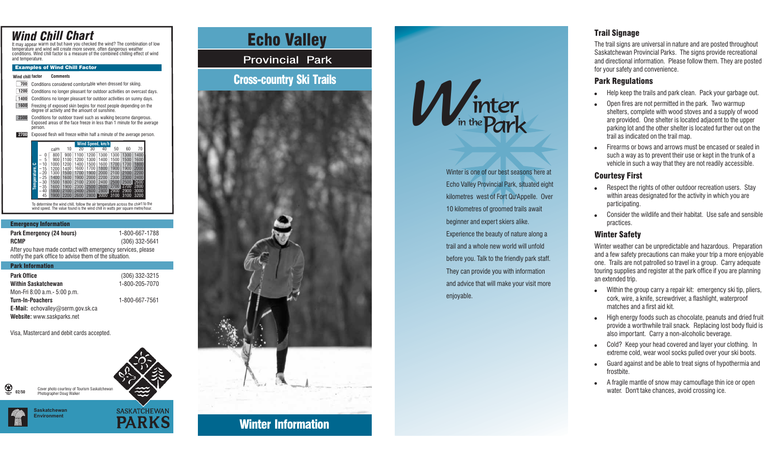# *Wind Chill Chart*

It may appear warm out but have you checked the wind? The combination of low temperature and wind will create more severe, often dangerous weather conditions. Wind chill factor is <sup>a</sup> measure of the combined chilling effect of wind and temperature.

### Examples of Wind Chill Factor

**Wind chill factorComments**

Conditions considered comfortable when dressed for skiing. Conditions no longer pleasant for outdoor activities on overcast days. 1400 Conditions no longer pleasant for outdoor activities on sunny days. **7001200**

Freezing of exposed skin begins for most people depending on the degree of activity and the amount of sunshine. **1600**

Conditions for outdoor travel such as walking become dangerous. Exposed areas of the face freeze in less than 1 minute for the average person. **2300**

Exposed flesh will freeze within half <sup>a</sup> minute of the average person. **2700**



To determine the wind chill, follow the air temperature across the chart to the wind speed. The value found is the wind chill in watts per square metre/hour.

#### Emergency Information

**Park Emergency (24 hours) RCMP**1-800-667-1788(306) 332-5641 After you have made contact with emergency services, please notify the park office to advise them of the situation.

#### Park Information

| <b>Park Office</b>                       | (306) 332-3215 |
|------------------------------------------|----------------|
| <b>Within Saskatchewan</b>               | 1-800-205-7070 |
| Mon-Fri 8:00 a.m. - 5:00 p.m.            |                |
| <b>Turn-In-Poachers</b>                  | 1-800-667-7561 |
| <b>E-Mail:</b> echovalley@serm.gov.sk.ca |                |
| Website: www.saskparks.net               |                |

Visa, Mastercard and debit cards accepted.



**Mook Money Monet Contains Echo Valley** 

Provincial Park

## Cross-country Ski Trails





Winter is one of our best seasons here at Echo Valley Provincial Park, situated eight kilometres west of Fort Qu'Appelle. Over 10 kilometres of groomed trails await beginner and expert skiers alike. Experience the beauty of nature along <sup>a</sup> trail and a whole new world will unfoldbefore you. Talk to the friendly park staff. They can provide you with information and advice that will make your visit more enjoyable.

## Trail Signage

The trail signs are universal in nature and are posted throughout Saskatchewan Provincial Parks. The signs provide recreational and directional information. Please follow them. They are posted for your safety and convenience.

### Park Regulations

- Help keep the trails and park clean. Pack your garbage out. 0
- Open fires are not permitted in the park. Two warmup shelters, complete with wood stoves and <sup>a</sup> supply of wood are provided. One shelter is located adjacent to the upper parking lot and the other shelter is located further out on the trail as indicated on the trail map. 0
- Firearms or bows and arrows must be encased or sealed insuch <sup>a</sup> way as to prevent their use or kept in the trunk of <sup>a</sup> vehicle in such <sup>a</sup> way that they are not readily accessible. 6

### Courtesy First

- Respect the rights of other outdoor recreation users. Stay within areas designated for the activity in which you are participating. 0
- Consider the wildlife and their habitat. Use safe and sensiblepractices.

## Winter Safety

Winter weather can be unpredictable and hazardous. Preparation and <sup>a</sup> few safety precautions can make your trip <sup>a</sup> more enjoyable one. Trails are not patrolled so travel in <sup>a</sup> group. Carry adequate touring supplies and register at the park office if you are planning an extended trip.

- Within the group carry <sup>a</sup> repair kit: emergency ski tip, pliers, cork, wire, <sup>a</sup> knife, screwdriver, <sup>a</sup> flashlight, waterproof matches and a first aid kit.
- High energy foods such as chocolate, peanuts and dried fruit provide <sup>a</sup> worthwhile trail snack. Replacing lost body fluid is also important. Carry <sup>a</sup> non-alcoholic beverage. 0
- Cold? Keep your head covered and layer your clothing. In extreme cold, wear wool socks pulled over your ski boots.
- Guard against and be able to treat signs of hypothermia and frostbite.0
- A fragile mantle of snow may camouflage thin ice or open water. Don't take chances, avoid crossing ice.